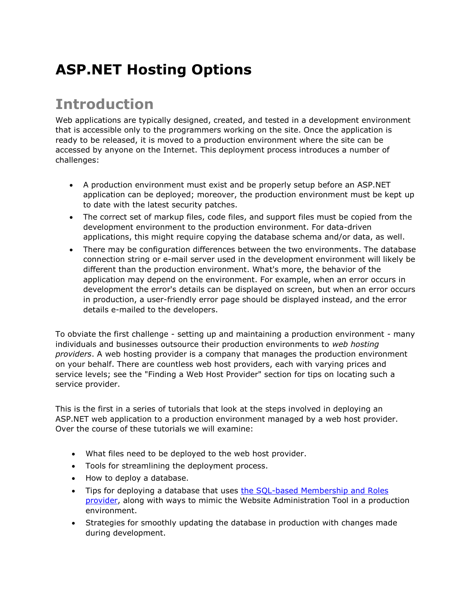# **ASP.NET Hosting Options**

### **Introduction**

Web applications are typically designed, created, and tested in a development environment that is accessible only to the programmers working on the site. Once the application is ready to be released, it is moved to a production environment where the site can be accessed by anyone on the Internet. This deployment process introduces a number of challenges:

- A production environment must exist and be properly setup before an ASP.NET application can be deployed; moreover, the production environment must be kept up to date with the latest security patches.
- The correct set of markup files, code files, and support files must be copied from the development environment to the production environment. For data-driven applications, this might require copying the database schema and/or data, as well.
- There may be configuration differences between the two environments. The database connection string or e-mail server used in the development environment will likely be different than the production environment. What's more, the behavior of the application may depend on the environment. For example, when an error occurs in development the error's details can be displayed on screen, but when an error occurs in production, a user-friendly error page should be displayed instead, and the error details e-mailed to the developers.

To obviate the first challenge - setting up and maintaining a production environment - many individuals and businesses outsource their production environments to *web hosting providers*. A web hosting provider is a company that manages the production environment on your behalf. There are countless web host providers, each with varying prices and service levels; see the "Finding a Web Host Provider" section for tips on locating such a service provider.

This is the first in a series of tutorials that look at the steps involved in deploying an ASP.NET web application to a production environment managed by a web host provider. Over the course of these tutorials we will examine:

- What files need to be deployed to the web host provider.
- Tools for streamlining the deployment process.
- How to deploy a database.
- Tips for deploying a database that uses [the SQL-based Membership and Roles](http://www.asp.net/learn/security/)  [provider,](http://www.asp.net/learn/security/) along with ways to mimic the Website Administration Tool in a production environment.
- Strategies for smoothly updating the database in production with changes made during development.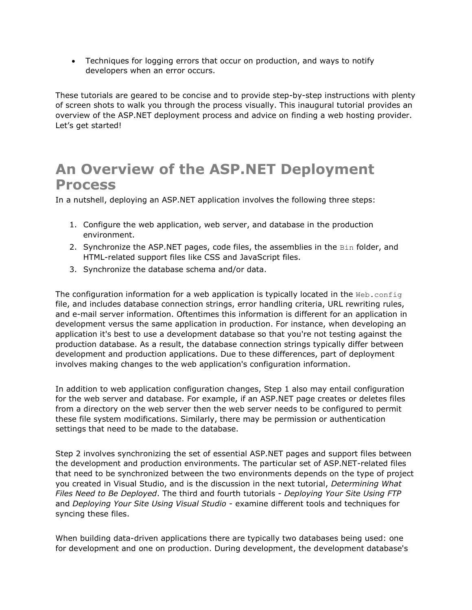Techniques for logging errors that occur on production, and ways to notify developers when an error occurs.

These tutorials are geared to be concise and to provide step-by-step instructions with plenty of screen shots to walk you through the process visually. This inaugural tutorial provides an overview of the ASP.NET deployment process and advice on finding a web hosting provider. Let's get started!

### **An Overview of the ASP.NET Deployment Process**

In a nutshell, deploying an ASP.NET application involves the following three steps:

- 1. Configure the web application, web server, and database in the production environment.
- 2. Synchronize the ASP.NET pages, code files, the assemblies in the Bin folder, and HTML-related support files like CSS and JavaScript files.
- 3. Synchronize the database schema and/or data.

The configuration information for a web application is typically located in the  $Web.config$ file, and includes database connection strings, error handling criteria, URL rewriting rules, and e-mail server information. Oftentimes this information is different for an application in development versus the same application in production. For instance, when developing an application it's best to use a development database so that you're not testing against the production database. As a result, the database connection strings typically differ between development and production applications. Due to these differences, part of deployment involves making changes to the web application's configuration information.

In addition to web application configuration changes, Step 1 also may entail configuration for the web server and database. For example, if an ASP.NET page creates or deletes files from a directory on the web server then the web server needs to be configured to permit these file system modifications. Similarly, there may be permission or authentication settings that need to be made to the database.

Step 2 involves synchronizing the set of essential ASP.NET pages and support files between the development and production environments. The particular set of ASP.NET-related files that need to be synchronized between the two environments depends on the type of project you created in Visual Studio, and is the discussion in the next tutorial, *Determining What Files Need to Be Deployed*. The third and fourth tutorials - *Deploying Your Site Using FTP* and *Deploying Your Site Using Visual Studio* - examine different tools and techniques for syncing these files.

When building data-driven applications there are typically two databases being used: one for development and one on production. During development, the development database's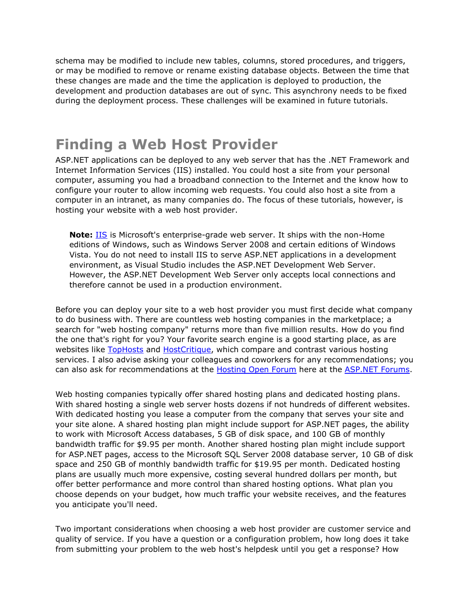schema may be modified to include new tables, columns, stored procedures, and triggers, or may be modified to remove or rename existing database objects. Between the time that these changes are made and the time the application is deployed to production, the development and production databases are out of sync. This asynchrony needs to be fixed during the deployment process. These challenges will be examined in future tutorials.

### **Finding a Web Host Provider**

ASP.NET applications can be deployed to any web server that has the .NET Framework and Internet Information Services (IIS) installed. You could host a site from your personal computer, assuming you had a broadband connection to the Internet and the know how to configure your router to allow incoming web requests. You could also host a site from a computer in an intranet, as many companies do. The focus of these tutorials, however, is hosting your website with a web host provider.

**Note:** [IIS](http://www.iis.net/) is Microsoft's enterprise-grade web server. It ships with the non-Home editions of Windows, such as Windows Server 2008 and certain editions of Windows Vista. You do not need to install IIS to serve ASP.NET applications in a development environment, as Visual Studio includes the ASP.NET Development Web Server. However, the ASP.NET Development Web Server only accepts local connections and therefore cannot be used in a production environment.

Before you can deploy your site to a web host provider you must first decide what company to do business with. There are countless web hosting companies in the marketplace; a search for "web hosting company" returns more than five million results. How do you find the one that's right for you? Your favorite search engine is a good starting place, as are websites like [TopHosts](http://www.tophosts.com/) and [HostCritique,](http://www.hostcritique.net/) which compare and contrast various hosting services. I also advise asking your colleagues and coworkers for any recommendations; you can also ask for recommendations at the [Hosting Open Forum](http://forums.asp.net/158.aspx) here at the [ASP.NET Forums.](http://forums.asp.net/)

Web hosting companies typically offer shared hosting plans and dedicated hosting plans. With shared hosting a single web server hosts dozens if not hundreds of different websites. With dedicated hosting you lease a computer from the company that serves your site and your site alone. A shared hosting plan might include support for ASP.NET pages, the ability to work with Microsoft Access databases, 5 GB of disk space, and 100 GB of monthly bandwidth traffic for \$9.95 per month. Another shared hosting plan might include support for ASP.NET pages, access to the Microsoft SQL Server 2008 database server, 10 GB of disk space and 250 GB of monthly bandwidth traffic for \$19.95 per month. Dedicated hosting plans are usually much more expensive, costing several hundred dollars per month, but offer better performance and more control than shared hosting options. What plan you choose depends on your budget, how much traffic your website receives, and the features you anticipate you'll need.

Two important considerations when choosing a web host provider are customer service and quality of service. If you have a question or a configuration problem, how long does it take from submitting your problem to the web host's helpdesk until you get a response? How